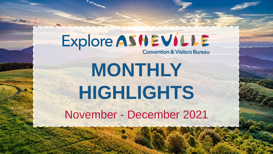## Explore ASHEVILLE

**Convention & Visitors Bureau** 

# **MONTHLY HIGHLIGHTS**

November - December 2021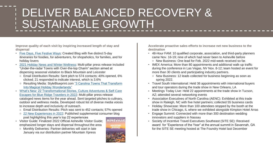### DELIVER BALANCED RECOVERY & SUSTAINABLE GROWTH

**Improve quality of each visit by inspiring increased length of stay and dispersal**

- [Five Days, Five Festive Ways:](https://www.exploreasheville.com/stories/post/five-days-five-festive-ways-your-asheville-holiday-itinerary/) Created Blog with five distinct 5-day itineraries for foodies, for adventurers, for shopaholics, for families, and for holiday lovers
- [2021 Holiday News and Winter Wellness:](https://www.exploreasheville.com/articles/post/iconic-holiday-traditions-return-in-person/) Multi-pillar press release included "Under-the-radar Towns with Over-the-top Charm" section aimed at dispersing seasonal visitation to Black Mountain and Leicester
	- o Email Distribution Results: Sent pitch to 574 contacts; 40% opened, 6% clicked; 21 responded to indicate interest, which is 3.6%
	- o [Resulting Media: StyleBlueprint.com "3 Carolina Towns That Transform](https://styleblueprint.com/everyday/carolina-towns-transform-into-magical-holiday-wonderlands/)  Into Magical Holiday Wonderlands"
- What's New: 22 Transformational Stories, Culture Adventures & Self-Care Escapes for Blue Ridge Travelers in 2022: Multi-pillar press release cataloged news items for the year ahead. Sent targeted pitches to culinary, outdoor and wellness media. Developed robust list of diverse media voices to increase depth and inclusivity of outreach.
	- o Email Distribution Results: Pitch was sent to 452 contacts; 57% opened
	- o [22 New Experiences in 2022](https://www.exploreasheville.com/blog/post/whats-new-in-asheville-in-2022/): Published supplemental consumer blog post highlighting this year's top 22 experiences
- Visitor Guide: Finalized 2022 Official Asheville Visitor Guide; emphasized longer stays and dispersal throughout the area
	- o Monthly Deliveries: Partner deliveries will start in late January via our distribution partner Mountain Xpress



**Accelerate proactive sales efforts to increase net new business to the destination**

- 48-Hour FAM: 10 qualified corporate, association, and third-party planners came Nov. 16-19; nine of which had never been to Asheville before o New Business: One lead for Feb. 2022 mid-week received so far.
- IMEX America: More than 80 appointments and additional walk-up traffic during the conference in Las Vegas, NV Nov. 8-12; team hosted an event for more than 30 clients and participating industry partners.
	- o New Business: 12 leads collected for business beginning as soon as spring 2022.
- Travel South International: Held 36 appointments with international buyers and tour operators during the trade show in New Orleans, LA
- Meetings Today Live: Held 22 appointments at the trade show in Tucson, AZ; attended several networking events
- Association Executives of North Carolina (AENC): Exhibited at this trade show in Raleigh, NC with five hotel partners; collected 55 business cards
- Holiday Showcase: More than 100 attendees stopped by the booth at the trade show in Chicago, IL where we exhibited alongside Kimpton Hotel Arras
- Engage Summit: Connected with more than 300 destination wedding innovators and suppliers in Nassau
- Society of Incentive Travel Executives Southeast (SITE SE): Received award for "Experience of the Year" at the annual summit in Savannah, GA for the SITE SE meeting hosted at The Foundry Hotel last December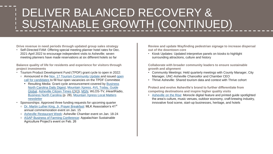### DELIVER BALANCED RECOVERY & SUSTAINABLE GROWTH (CONTINUED)

**Drive revenue in need periods through updated group sales strategy**

• Self-Directed FAM: Offering special meeting planner hotel rates for Dec. 2021-April 2022 to encourage independent visits to Asheville; seven meeting planners have made reservations at six different hotels so far

**Balance quality of life for residents and experience for visitors through project investments**

- Tourism Product Development Fund (TPDF) grant cycle to open in 2022:
	- o Announced in the [Nov. 17 Tourism Community Update](https://marketing.exploreasheville.com/acton/rif/43256/s-08b1-2111/-/l-000f:b22/l-000f/showPreparedMessage?utm_term=Not%20displaying%20properly%20Click%20here%20to%20view%20in%20browser.&utm_campaign=Buncombe%20County%20TDA%20Update%20on%20Tourism%20Product%20Development%20Fund.&utm_content=email&utm_source=Act-On+Software&utm_medium=email&cm_mmc=Act-On%20Software-_-email-_-Buncombe%20County%20TDA%20Update%20on%20Tourism%20Product%20Development%20Fund.-_-Not%20displaying%20properly%20Click%20here%20to%20view%20in%20browser.&sid=TV2:5K5q2saUR) and issued open [call for candidates to fill four open vacancies on the TPDF Committee](https://www.ashevillecvb.com/tpdf-committee/)
		- Resulting Media: Grant cycle announcement covered by Business [North Carolina Daily Digest, Mountain Xpress, AVL Today, Guide](https://mailchi.mp/businessnc/test-daily-digest-7302017-573514?e=6c7fd929f2)  [Global, Asheville Citizen Times \(2\)\(3\), MSN, WLOS-TV, iHeartRa](https://guideglobal.com/tda-to-release-8-million-in-hotel-taxes-for-asheville-and-buncombe/)dio, [Business North Carolina \(p. 28\), Mountain Xpress Local Matters](https://mailchi.mp/4b037c47fd23/november-12-3129573?e=c7d04454f7) newsletter
- Sponsorships: Approved three funding requests for upcoming quarter
	- o [Dr. Martin Luther King, Jr. Prayer Breakfast:](http://mlkasheville.org/activities/prayer-breakfast/) MLK Association's 41<sup>st</sup> annual commemoration event on Jan. 15
	- o [Asheville Restaurant Week:](https://www.exploreasheville.com/restaurant-week/) Asheville Chamber event on Jan. 18-24
	- o [ASAP Business of Farming Conference:](https://asapconnections.org/events/business-of-farming-conference/) Appalachian Sustainable Agriculture Project's event on Feb. 26

**Review and update Wayfinding pedestrian signage to increase dispersal out of the downtown core**

• Kiosk Updates: Updated interpretive panels on kiosks to highlight surrounding attractions, culture and history

**Collaborate with broader community leaders to ensure sustainable growth and alignment**

- Community Meetings: Held quarterly meetings with County Manager, City Manager, UNC-Asheville Chancellor and Chamber CEO
- Thrive Asheville: Shared tourism data and context with Thrive cohort

**Protect and evolve Asheville's brand to further differentiate from competing destinations and inspire higher quality visits**

• [Asheville on the Rise:](https://monocle.com/magazine/explore-asheville/2021/creative-spirit/) Monocle digital feature and printed guide spotlighted the area's culture, music venues, outdoor economy, craft brewing industry, innovative food scene, start-up businesses, heritage, and hotels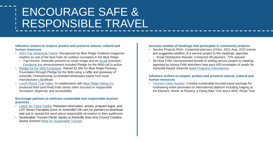### ENCOURAGE SAFE & RESPONSIBLE TRAVEL

#### **Influence visitors to respect, protect and preserve natural, cultural and human resources**

- [2021 Top Adventure Towns:](https://www.blueridgeoutdoors.com/magazine/november-2021/2021-top-adventure-towns-readers-select-best-hubs-for-outdoor-recreation-in-the-blue-ridge/) Recognized by Blue Ridge Outdoors magazine readers as one of the best hubs for outdoor recreation in the Blue Ridge
	- o Top Honors: Asheville pictured on cover image and on [social](https://www.instagram.com/p/CWMOqAzt35J/) channels; [Facebook live](https://www.facebook.com/watch/?v=603436177450601&ref=sharing) announcement included Pledge for the Wild call to action
- [Pledge for the Wild Fundraiser](https://www.facebook.com/Asheville/photos/a.223814135223/10165959755810224/?type=3&theater): Raised \$1,060 for Blue Ridge Parkway Foundation through Pledge for the Wild using a raffle and giveaway of Asheville Championship co-branded whitewater kayak from local manufacturer Liquidlogic
- [Lunch Rocks Trail Video:](https://youtu.be/qVHM3wME58M) In collaboration with [Blue Ridge Hiking Co.](https://www.exploreasheville.com/listings/blue-ridge-hiking-company/3895/), produced third (and final) trails series video focused on responsible recreation, dispersal, and accessibility

#### **Encourage partners to embrace sustainable and responsible tourism practices**

- [Leave No Trace Toolkit](https://www.ashevillecvb.com/explore-asheville-leave-no-trace-toolkit): Released information, assets, program logos, and LNT Seven Principles icons on AshevilleCVB.com for partners to download and use to spread the word about responsible recreation to their audiences
- Sustainable Tourism Panel: Spoke at Asheville Area Arts Council Creative Sector Summit [Panel on Sustainable Tourism](https://www.youtube.com/watch?v=6Q_0Rb2qG38)

#### **Increase number of bookings that participate in community projects**

- Service Projects Pitch: Contacted planners of Nov. 2021-Aug. 2022 events and suggested addition of a service project to the meetings' agendas o Email Distribution Results: Contacted 48 planners; 72% opened
- 48-Hour FAM: Demonstrated benefit of adding service project to meeting agendas by having FAM attendees help pack 600 envelopes of seeds for Asheville-based nonprofit [Seed Programs International](https://seedprograms.org/)

#### **Influence visitors to respect, protect and preserve natural, cultural and human resources**

• [Tourism Cares Auction:](https://www.tourismcares.org/auction) Created sustainable-focused travel package for fundraising event promoted on international platform including lodging at the Element, dinner at Posana, a Flying Bike Tour and a WNC Photo Tour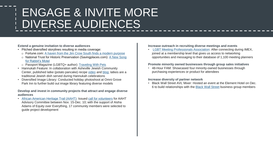### ENGAGE & INVITE MORE DIVERSE AUDIENCES

#### **Extend a genuine invitation to diverse audiences**

- Pitched diversified storylines resulting in media coverage:
	- o Fortune.com: [A haven from the Jim Crow South finds a modern purpose](https://nam02.safelinks.protection.outlook.com/?url=https%3A%2F%2Ffortune.com%2F2021%2F11%2F07%2Fa-haven-from-the-jim-crow-south-finds-a-modern-purpose%2F&data=04%7C01%7Cdstephens%40exploreasheville.com%7Cf186b65399c2414be78d08d9a54ddc88%7C4509bd4bf4f940048f3135892f9b5c6c%7C0%7C0%7C637722576104515515%7CUnknown%7CTWFpbGZsb3d8eyJWIjoiMC4wLjAwMDAiLCJQIjoiV2luMzIiLCJBTiI6Ik1haWwiLCJXVCI6Mn0%3D%7C1000&sdata=JG%2BUdZWF0ypjcjph%2Fk4OOZLVb4WPWjLBUg%2B6MSi8iaU%3D&reserved=0)
	- o [National Trust for Historic Preservation \(Savingplaces.com\): A New Song](https://nam02.safelinks.protection.outlook.com/?url=https%3A%2F%2Fsavingplaces.org%2Fstories%2Fa-new-song-for-rabbits-motel%3Ftoken%3Dd6a2b326742bc04701d1c068fef697de85f9102f%23.YYwoXU7MKob&data=04%7C01%7Cdstephens%40exploreasheville.com%7Cf186b65399c2414be78d08d9a54ddc88%7C4509bd4bf4f940048f3135892f9b5c6c%7C0%7C0%7C637722576104525509%7CUnknown%7CTWFpbGZsb3d8eyJWIjoiMC4wLjAwMDAiLCJQIjoiV2luMzIiLCJBTiI6Ik1haWwiLCJXVCI6Mn0%3D%7C1000&sdata=PIMmsZ02YCZsrTKNcBXI%2FZYzlrEenOAmmVuPJvQw1Ds%3D&reserved=0) for Rabbit's Motel
	- o Passport Magazine (LGBTQ+ author): [Traveling With Pets](https://nam02.safelinks.protection.outlook.com/?url=https%3A%2F%2Fpassportmagazine.com%2Ftraveling-with-pets%2F&data=04%7C01%7Cdstephens%40exploreasheville.com%7Cb9ad74d4bbec4770180508d99a397937%7C4509bd4bf4f940048f3135892f9b5c6c%7C0%7C0%7C637710393943463095%7CUnknown%7CTWFpbGZsb3d8eyJWIjoiMC4wLjAwMDAiLCJQIjoiV2luMzIiLCJBTiI6Ik1haWwiLCJXVCI6Mn0%3D%7C1000&sdata=8SYqVYbeU0NbcXSHad9InEg4DlQJi9CJR%2FAtCROrOSo%3D&reserved=0)
- Hannukah Feature: In collaboration with Asheville Jewish Community Center, published latke (potato pancake) recipe [video](https://www.instagram.com/p/CW1hdVENliF/) and [blog;](https://www.exploreasheville.com/stories/post/hanukkah-latke-recipe/) latkes are a traditional Jewish dish served during Hannukah celebrations
- Diversified Image Library: Conducted holiday photoshoot at Omni Grove Park Inn to further build out image library featuring diverse models

#### **Develop and invest in community projects that attract and engage diverse audiences**

• [African American Heritage Trail \(AAHT\)](https://www.ashevillecvb.com/project-background/): Issued [call for volunteers](https://www.ashevillecvb.com/african-american-heritage-trail-advisory-committee-press-release/) for AAHT Advisory Committee between Nov. 15-Dec. 10; with the support of Aisha Adams of Equity over Everything, 17 community members were selected to guide project development

#### **Increase outreach in recruiting diverse meetings and events**

• [LGBT Meeting Professionals Association:](https://lgbtmpa.com/) After connecting during IMEX, joined at a membership level that gives us access to networking opportunities and messaging to their database of 1,100 meeting planners

#### **Promote minority owned businesses through group sales initiatives**

• 48-Hour FAM: Showcased four minority-owned businesses through purchasing experiences or product for attendees

#### **Increase diversity of partner network**

• Black Wall Street AVL Mixer: Hosted an event at the Element Hotel on Dec. 6 to build relationships with the [Black Wall Street](https://blackwallstreetavl.com/) business group members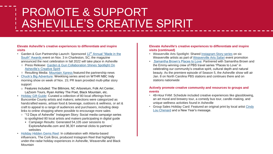### PROMOTE & SUPPORT ASHEVILLE'S CREATIVE SPIRIT

#### **Elevate Asheville's creative experiences to differentiate and inspire visits**

- Garden & Gun Partnership Launch: Sponsored 12<sup>th</sup> Annual "Made in the [South" Awards event on Nov. 3 in Charleston, SC; the magazine](https://gardenandgun.com/slideshow/12th-annual-made-in-the-south-awards/list/)  announced the next celebration in fall 2022 will take place in Asheville
	- o [Press Release: Garden & Gun Collaboration Shines Spotlight On](https://www.ashevillecvb.com/garden-gun-collaboration-shines-spotlight-on-ashevilles-creative-spirit/) Asheville's Creative Spirit
	- o Resulting Media: [Mountain Xpress](https://mountainx.com/food/whats-new-in-food-smasheville-food-truck-brings-the-beef/) featured the partnership news
- [Chuck's Big Adventure](https://www.wthr.com/article/travel/chucks-big-adventure/chucks-big-adventure-asheville-north-carolina-black-mountain-ryan-ashley-the-poet-bush-farmhouse/531-bfc61da7-dc37-4693-8183-7f8402056bd3): Weeklong series aired on WTHR NBC Indy morning show on week of Nov. 15; PR team provided multi-pillar story support
	- o Features Included: The Biltmore, NC Arboretum, Folk Art Center, LaZoom Tours, Ryan Ashley The Poet, Black Mountain, etc.
- [Holiday Gift Guide](https://www.exploreasheville.com/holiday-gift-guide/): Curated a collection of 80 local offerings from Buncombe County artists and makers; selections were categorized as handcrafted wares, artisan food & beverage, outdoors & wellness, or art & craft to appeal to a range of audiences and purchasers, including deep links to online shopping where possible to encourage more sales
	- o "12 Days of Asheville" Instagram Story: Social media campaign series to spotlighted 80 local artists and makers participating in digital guide
		- Campaign Results: Generated 54,105 user sessions to ExploreAsheville.com and 36,301 external clicks to partners' websites
- [Holiday Hidden Gems Reel:](https://www.instagram.com/p/CXOz7v8pG63/) In collaboration with Atlanta-based influencers, The Cork Bros, produced Instagram Reel that highlights under-the-radar holiday experiences in Asheville, Weaverville and Black **Mountain**

#### **Elevate Asheville's creative experiences to differentiate and inspire visits (continued)**

- Weaverville Arts Spotlight: Shared [Instagram Story series](https://www.instagram.com/stories/highlights/18196904659102100/) on six Weaverville artists as part of [Weaverville Arts Safari](https://weavervilleartsafari.com/) event promotion
- [Samantha Brown's Places to Love:](https://www.pbs.org/video/asheville-north-carolina-6szIen/) Partnered with Samantha Brown and the Emmy-winning crew of PBS travel series "Places to Love" in celebrating our community's creative spirit, cultural depth and natural beauty. As the premiere episode of Season 5, the Asheville show will air Jan. 8 on North Carolina PBS stations and continues there and on stations nationwide

#### **Actively promote creative community and resources to groups and events**

- 48-Hour FAM: Schedule included creative experiences like glassblowing, an art mural and brewery tour, a comedy bus tour, candle-making, and unique wellness activities found in Asheville
- [Group Sales Holiday Card: Featured an original print by local artist Cindy](https://www.cindylouchenard.com/)  Lou Chenard and a New Year's message.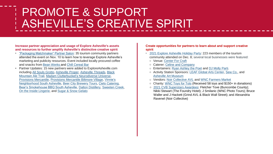### PROMOTE & SUPPORT ASHEVILLE'S CREATIVE SPIRIT

**Increase partner appreciation and usage of Explore Asheville's assets and resources to further amplify Asheville's distinctive creative spirit**

- ["Packaging Matchmaker" Partner Salon:](https://www.ashevillecvb.com/event/partner-salon-packaging-matchmaker/) 35 tourism community partners attended the event on Nov. 10 to learn how to leverage Explore Asheville's marketing and publicity resources. Event included locally procured coffee and snacks from [Bean Werks](https://www.exploreasheville.com/listings/bean-werks-coffee-and-tea/351/) and [Chill Cereal Bar](https://www.chillcerealbar.com/)
- Partner Updates: 15 new partners were added to ExploreAsheville.com [including All Souls Grotto, Asheville Proper, Asheville Threads, Black](https://www.exploreasheville.com/listings/black-mountain-ale-house/3773/) Mountain Ale Trail, [Madam Clutterbucket's](https://www.exploreasheville.com/listings/madam-clutterbuckets-neurodiverse-universe/16569/) Neurodiverse Universe, [Provisions Mercantile,](https://www.exploreasheville.com/listings/provisions-mercantile/16568/) [Provisions Mercantile Biltmore Village,](https://www.exploreasheville.com/listings/provisions-mercantile-biltmore-village/16567/) Vinnie's [Neighborhood South Asheville, Beer City Brewery Tours, Cielo Cateri](vinniesitalian.com)[ng](cieloavl.com), [Bear's Smokehouse BBQ South Asheville,](https://bearsbbq.com/sweetencreek) [Dalton Distillery](http://www.dalton-distillery.com/), [Sweeten Creek](https://sweetencreekbrewing.com/), [On the Inside Lingerie,](http://www.ontheinsidelingerie.com/) and [Sugar & Snow Gelato](https://sugarandsnowgelato.com/)

#### **Create opportunities for partners to learn about and support creative spirit**

- [2021 Explore Asheville Holiday Party:](https://www.ashevillecvb.com/event/save-the-date-2021-explore-asheville-holiday-party/) 223 members of the tourism community attended on Dec. 8; several local businesses were featured:
- o Venue: [Center For Craft](https://www.exploreasheville.com/listings/center-for-craft/6705/)
- o Caterer: [Celine and Company](https://www.exploreasheville.com/listings/celine-and-company-catering-%26-events/10895/)
- o Entertainers: [Ryan Ashley the Poet](https://www.exploreasheville.com/listings/ryan-ashley-the-poet/16128/) and [DJ Molly Parti](https://www.mollyparti.com/).
- o Activity Station Sponsors: [LEAF Global Arts Center,](https://www.exploreasheville.com/listings/leaf-global-arts-center/14272/) [Sew Co.](https://www.wcsewco.com/), and [Asheville Art Museum](https://www.exploreasheville.com/listings/asheville-art-museum/262/)
- o Vendors: [Noir Collective AVL](https://www.exploreasheville.com/listings/noir-collective-avl/14759/) and [WNC Farmers Market](https://www.exploreasheville.com/listings/wnc-farmers-market/3832/)
- o Charity: [WNC Toys for Tots](https://wnctft-nc.toysfortots.org/local-coordinator-sites/lco-sites/default.aspx?nPageID=100&nPreviewInd=200&nRedirectInd=3) (Received 58 toys and \$150+ in donations)
- o [2021 CVB Superstars Awardees:](https://www.ashevillecvb.com/superstars-award/) Fletcher Tove (Buncombe County); Nikki Stewart (The Foundry Hotel); J Smilanic (WNC Photo Tours); Bruce Waller and J Hackett (Grind AVL & Black Wall Street); and Alexandria Ravenel (Noir Collective)